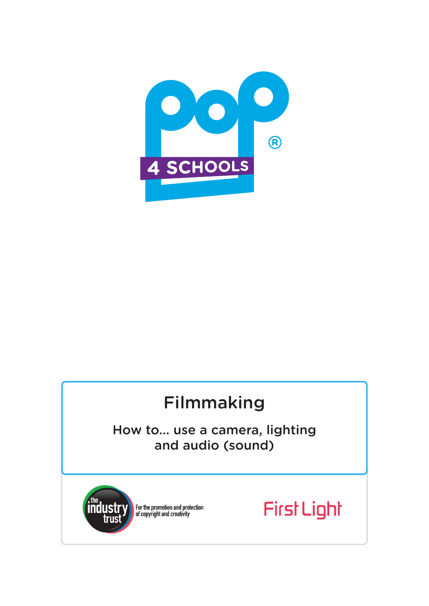

# Filmmaking

How to... use a camera, lighting and audio (sound)



For the promotion and protection<br>of copyright and creativity

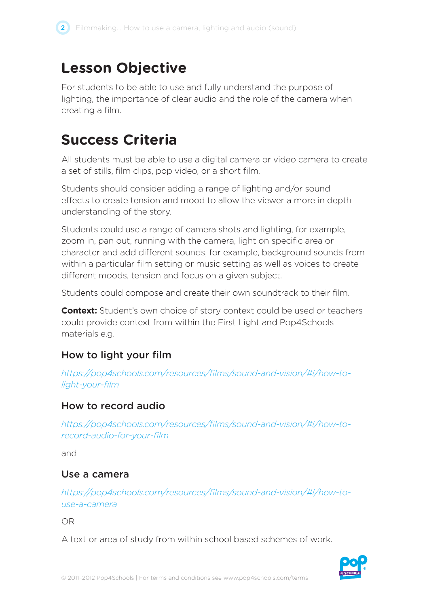## **Lesson Objective**

For students to be able to use and fully understand the purpose of lighting, the importance of clear audio and the role of the camera when creating a film.

# **Success Criteria**

All students must be able to use a digital camera or video camera to create a set of stills, film clips, pop video, or a short film.

Students should consider adding a range of lighting and/or sound effects to create tension and mood to allow the viewer a more in depth understanding of the story.

Students could use a range of camera shots and lighting, for example, zoom in, pan out, running with the camera, light on specific area or character and add different sounds, for example, background sounds from within a particular film setting or music setting as well as voices to create different moods, tension and focus on a given subject.

Students could compose and create their own soundtrack to their film.

**Context:** Student's own choice of story context could be used or teachers could provide context from within the First Light and Pop4Schools materials e.g.

## How to light your film

*https://pop4schools.com/resources/films/sound-and-vision/#!/how-tolight-your-film*

### How to record audio

*https://pop4schools.com/resources/films/sound-and-vision/#!/how-torecord-audio-for-your-film*

and

#### Use a camera

*https://pop4schools.com/resources/films/sound-and-vision/#!/how-touse-a-camera*

OR

A text or area of study from within school based schemes of work.

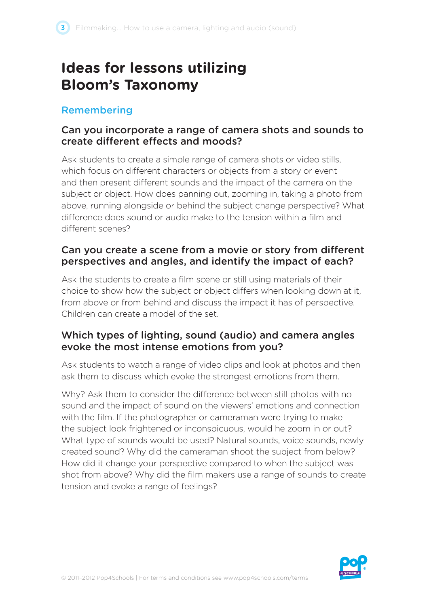# **Ideas for lessons utilizing Bloom's Taxonomy**

#### Remembering

#### Can you incorporate a range of camera shots and sounds to create different effects and moods?

Ask students to create a simple range of camera shots or video stills, which focus on different characters or objects from a story or event and then present different sounds and the impact of the camera on the subject or object. How does panning out, zooming in, taking a photo from above, running alongside or behind the subject change perspective? What difference does sound or audio make to the tension within a film and different scenes?

#### Can you create a scene from a movie or story from different perspectives and angles, and identify the impact of each?

Ask the students to create a film scene or still using materials of their choice to show how the subject or object differs when looking down at it, from above or from behind and discuss the impact it has of perspective. Children can create a model of the set.

#### Which types of lighting, sound (audio) and camera angles evoke the most intense emotions from you?

Ask students to watch a range of video clips and look at photos and then ask them to discuss which evoke the strongest emotions from them.

Why? Ask them to consider the difference between still photos with no sound and the impact of sound on the viewers' emotions and connection with the film. If the photographer or cameraman were trying to make the subject look frightened or inconspicuous, would he zoom in or out? What type of sounds would be used? Natural sounds, voice sounds, newly created sound? Why did the cameraman shoot the subject from below? How did it change your perspective compared to when the subject was shot from above? Why did the film makers use a range of sounds to create tension and evoke a range of feelings?

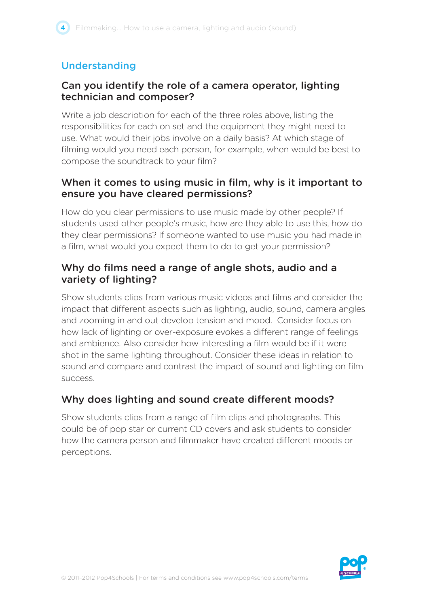## Understanding

#### Can you identify the role of a camera operator, lighting technician and composer?

Write a job description for each of the three roles above, listing the responsibilities for each on set and the equipment they might need to use. What would their jobs involve on a daily basis? At which stage of filming would you need each person, for example, when would be best to compose the soundtrack to your film?

#### When it comes to using music in film, why is it important to ensure you have cleared permissions?

How do you clear permissions to use music made by other people? If students used other people's music, how are they able to use this, how do they clear permissions? If someone wanted to use music you had made in a film, what would you expect them to do to get your permission?

#### Why do films need a range of angle shots, audio and a variety of lighting?

Show students clips from various music videos and films and consider the impact that different aspects such as lighting, audio, sound, camera angles and zooming in and out develop tension and mood. Consider focus on how lack of lighting or over-exposure evokes a different range of feelings and ambience. Also consider how interesting a film would be if it were shot in the same lighting throughout. Consider these ideas in relation to sound and compare and contrast the impact of sound and lighting on film success.

### Why does lighting and sound create different moods?

Show students clips from a range of film clips and photographs. This could be of pop star or current CD covers and ask students to consider how the camera person and filmmaker have created different moods or perceptions.

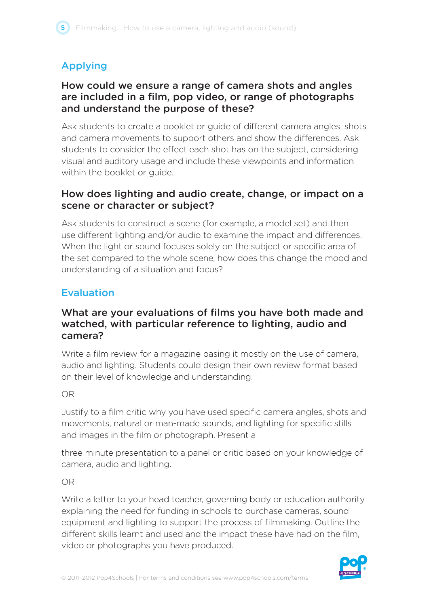## Applying

#### How could we ensure a range of camera shots and angles are included in a film, pop video, or range of photographs and understand the purpose of these?

Ask students to create a booklet or guide of different camera angles, shots and camera movements to support others and show the differences. Ask students to consider the effect each shot has on the subject, considering visual and auditory usage and include these viewpoints and information within the booklet or guide.

#### How does lighting and audio create, change, or impact on a scene or character or subject?

Ask students to construct a scene (for example, a model set) and then use different lighting and/or audio to examine the impact and differences. When the light or sound focuses solely on the subject or specific area of the set compared to the whole scene, how does this change the mood and understanding of a situation and focus?

## Evaluation

#### What are your evaluations of films you have both made and watched, with particular reference to lighting, audio and camera?

Write a film review for a magazine basing it mostly on the use of camera, audio and lighting. Students could design their own review format based on their level of knowledge and understanding.

#### OR

Justify to a film critic why you have used specific camera angles, shots and movements, natural or man-made sounds, and lighting for specific stills and images in the film or photograph. Present a

three minute presentation to a panel or critic based on your knowledge of camera, audio and lighting.

#### OR

Write a letter to your head teacher, governing body or education authority explaining the need for funding in schools to purchase cameras, sound equipment and lighting to support the process of filmmaking. Outline the different skills learnt and used and the impact these have had on the film, video or photographs you have produced.

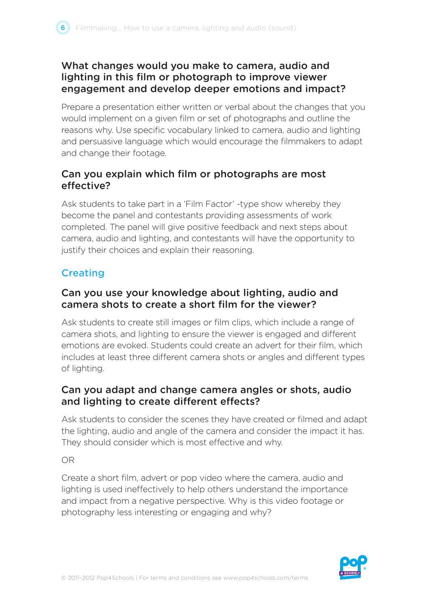#### What changes would you make to camera, audio and lighting in this film or photograph to improve viewer engagement and develop deeper emotions and impact?

Prepare a presentation either written or verbal about the changes that you would implement on a given film or set of photographs and outline the reasons why. Use specific vocabulary linked to camera, audio and lighting and persuasive language which would encourage the filmmakers to adapt and change their footage.

### Can you explain which film or photographs are most effective?

Ask students to take part in a 'Film Factor' -type show whereby they become the panel and contestants providing assessments of work completed. The panel will give positive feedback and next steps about camera, audio and lighting, and contestants will have the opportunity to justify their choices and explain their reasoning.

## **Creating**

#### Can you use your knowledge about lighting, audio and camera shots to create a short film for the viewer?

Ask students to create still images or film clips, which include a range of camera shots, and lighting to ensure the viewer is engaged and different emotions are evoked. Students could create an advert for their film, which includes at least three different camera shots or angles and different types of lighting.

### Can you adapt and change camera angles or shots, audio and lighting to create different effects?

Ask students to consider the scenes they have created or filmed and adapt the lighting, audio and angle of the camera and consider the impact it has. They should consider which is most effective and why.

OR

Create a short film, advert or pop video where the camera, audio and lighting is used ineffectively to help others understand the importance and impact from a negative perspective. Why is this video footage or photography less interesting or engaging and why?